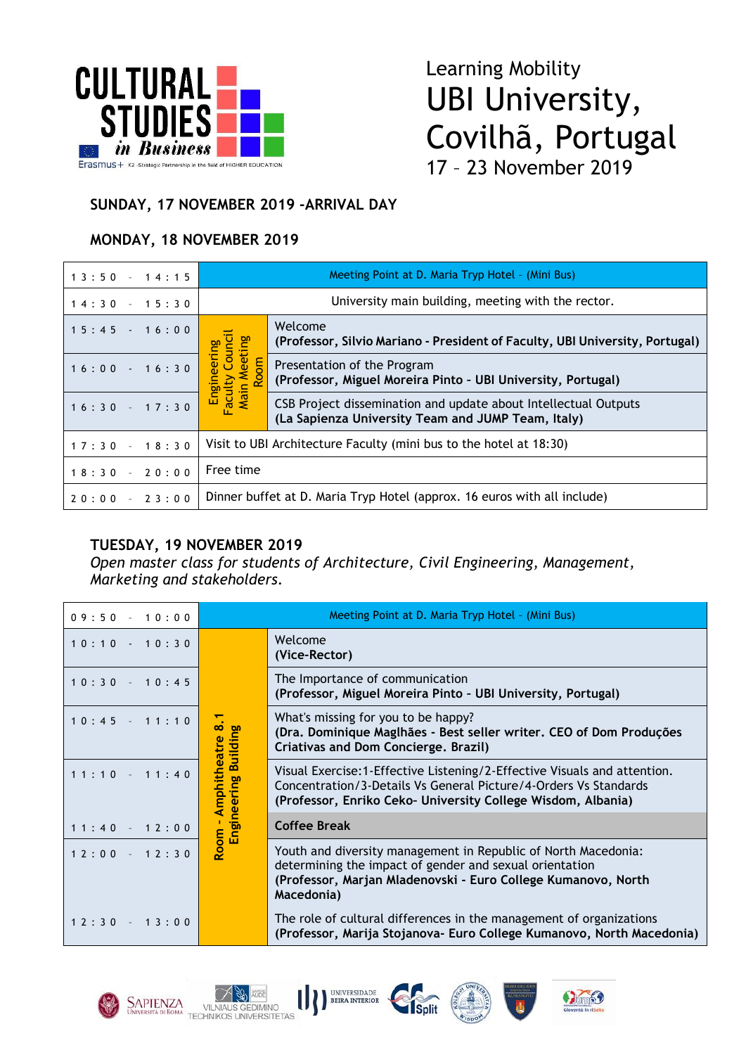

# Learning Mobility UBI University, Covilhã, Portugal 17 – 23 November 2019

#### **SUNDAY, 17 NOVEMBER 2019 -ARRIVAL DAY**

### **MONDAY, 18 NOVEMBER 2019**

| $13:50 - 14:15$ | Meeting Point at D. Maria Tryp Hotel - (Mini Bus)                        |                                                                                                                       |
|-----------------|--------------------------------------------------------------------------|-----------------------------------------------------------------------------------------------------------------------|
| $14:30 - 15:30$ | University main building, meeting with the rector.                       |                                                                                                                       |
| $15:45$ $16:00$ | Engineering<br>Faculty Council<br>Main Meeting<br>Room                   | Welcome<br>(Professor, Silvio Mariano - President of Faculty, UBI University, Portugal)                               |
| $16:00 - 16:30$ |                                                                          | Presentation of the Program<br>(Professor, Miguel Moreira Pinto - UBI University, Portugal)                           |
| $16:30 - 17:30$ |                                                                          | CSB Project dissemination and update about Intellectual Outputs<br>(La Sapienza University Team and JUMP Team, Italy) |
| $17:30 - 18:30$ | Visit to UBI Architecture Faculty (mini bus to the hotel at 18:30)       |                                                                                                                       |
| $18:30 - 20:00$ | Free time                                                                |                                                                                                                       |
| $20:00 - 23:00$ | Dinner buffet at D. Maria Tryp Hotel (approx. 16 euros with all include) |                                                                                                                       |

#### **TUESDAY, 19 NOVEMBER 2019**

*Open master class for students of Architecture, Civil Engineering, Management, Marketing and stakeholders.*

| $09:50 - 10:00$ |                                          | Meeting Point at D. Maria Tryp Hotel - (Mini Bus)                                                                                                                                                             |
|-----------------|------------------------------------------|---------------------------------------------------------------------------------------------------------------------------------------------------------------------------------------------------------------|
| $10:10 - 10:30$ |                                          | Welcome<br>(Vice-Rector)                                                                                                                                                                                      |
| $10:30 - 10:45$ |                                          | The Importance of communication<br>(Professor, Miguel Moreira Pinto - UBI University, Portugal)                                                                                                               |
| $10:45 - 11:10$ | Amphitheatre 8.1<br>Engineering Building | What's missing for you to be happy?<br>(Dra. Dominique Maglhães - Best seller writer. CEO of Dom Produções<br>Criativas and Dom Concierge. Brazil)                                                            |
| $11:10 - 11:40$ |                                          | Visual Exercise: 1-Effective Listening/2-Effective Visuals and attention.<br>Concentration/3-Details Vs General Picture/4-Orders Vs Standards<br>(Professor, Enriko Ceko- University College Wisdom, Albania) |
| $11:40 - 12:00$ |                                          | <b>Coffee Break</b>                                                                                                                                                                                           |
| $12:00 - 12:30$ | Room -                                   | Youth and diversity management in Republic of North Macedonia:<br>determining the impact of gender and sexual orientation<br>(Professor, Marjan Mladenovski - Euro College Kumanovo, North<br>Macedonia)      |
| $12:30 - 13:00$ |                                          | The role of cultural differences in the management of organizations<br>(Professor, Marija Stojanova- Euro College Kumanovo, North Macedonia)                                                                  |







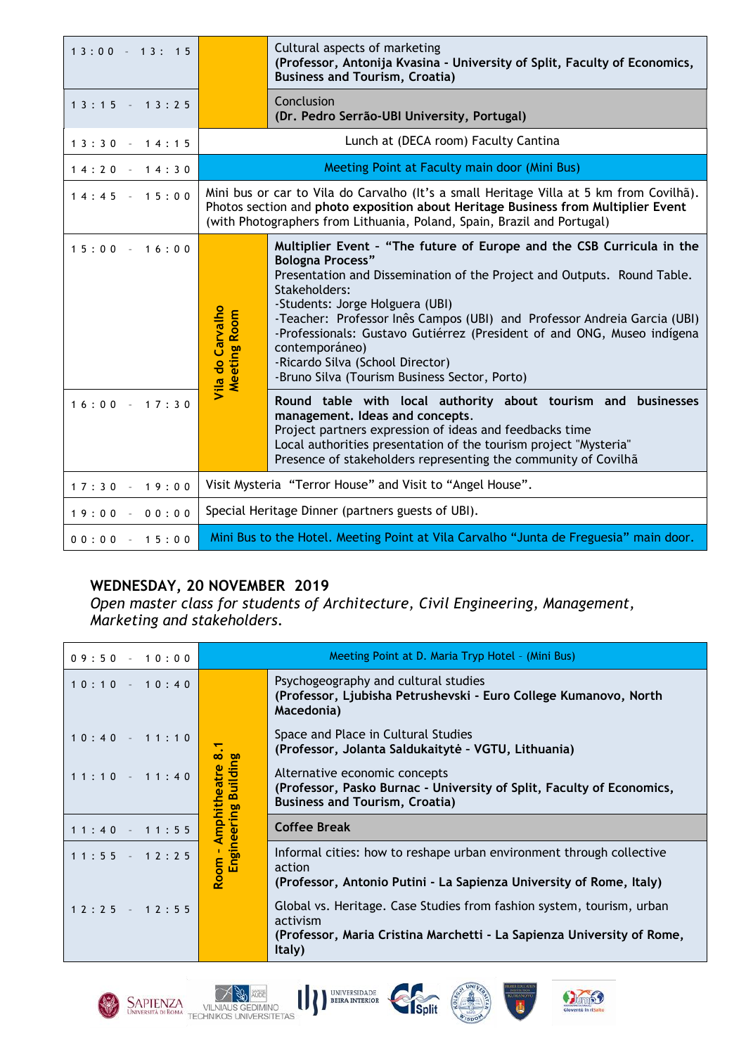| $13:00 - 13:15$ |                                                                                                                                                                                                                                                         | Cultural aspects of marketing<br>(Professor, Antonija Kvasina - University of Split, Faculty of Economics,<br><b>Business and Tourism, Croatia)</b>                                                                                                                                                                                                                                                                                                                                           |
|-----------------|---------------------------------------------------------------------------------------------------------------------------------------------------------------------------------------------------------------------------------------------------------|-----------------------------------------------------------------------------------------------------------------------------------------------------------------------------------------------------------------------------------------------------------------------------------------------------------------------------------------------------------------------------------------------------------------------------------------------------------------------------------------------|
| $13:15 - 13:25$ |                                                                                                                                                                                                                                                         | Conclusion<br>(Dr. Pedro Serrão-UBI University, Portugal)                                                                                                                                                                                                                                                                                                                                                                                                                                     |
| $13:30 - 14:15$ |                                                                                                                                                                                                                                                         | Lunch at (DECA room) Faculty Cantina                                                                                                                                                                                                                                                                                                                                                                                                                                                          |
| $14:20 - 14:30$ | Meeting Point at Faculty main door (Mini Bus)                                                                                                                                                                                                           |                                                                                                                                                                                                                                                                                                                                                                                                                                                                                               |
| $14:45 - 15:00$ | Mini bus or car to Vila do Carvalho (It's a small Heritage Villa at 5 km from Covilhã).<br>Photos section and photo exposition about Heritage Business from Multiplier Event<br>(with Photographers from Lithuania, Poland, Spain, Brazil and Portugal) |                                                                                                                                                                                                                                                                                                                                                                                                                                                                                               |
| $15:00 - 16:00$ | Vila do Carvalho<br><b>Meeting Room</b>                                                                                                                                                                                                                 | Multiplier Event - "The future of Europe and the CSB Curricula in the<br><b>Bologna Process"</b><br>Presentation and Dissemination of the Project and Outputs. Round Table.<br>Stakeholders:<br>-Students: Jorge Holguera (UBI)<br>-Teacher: Professor Inês Campos (UBI) and Professor Andreia Garcia (UBI)<br>-Professionals: Gustavo Gutiérrez (President of and ONG, Museo indígena<br>contemporáneo)<br>-Ricardo Silva (School Director)<br>-Bruno Silva (Tourism Business Sector, Porto) |
| $16:00 - 17:30$ |                                                                                                                                                                                                                                                         | Round table with local authority about tourism and businesses<br>management. Ideas and concepts.<br>Project partners expression of ideas and feedbacks time<br>Local authorities presentation of the tourism project "Mysteria"<br>Presence of stakeholders representing the community of Covilhã                                                                                                                                                                                             |
| $17:30 - 19:00$ |                                                                                                                                                                                                                                                         | Visit Mysteria "Terror House" and Visit to "Angel House".                                                                                                                                                                                                                                                                                                                                                                                                                                     |
| $19:00 - 00:00$ |                                                                                                                                                                                                                                                         | Special Heritage Dinner (partners guests of UBI).                                                                                                                                                                                                                                                                                                                                                                                                                                             |
| $00:00 - 15:00$ |                                                                                                                                                                                                                                                         | Mini Bus to the Hotel. Meeting Point at Vila Carvalho "Junta de Freguesia" main door.                                                                                                                                                                                                                                                                                                                                                                                                         |

#### **WEDNESDAY, 20 NOVEMBER 2019**

*Open master class for students of Architecture, Civil Engineering, Management, Marketing and stakeholders.*

| $09:50 - 10:00$ |                                             | Meeting Point at D. Maria Tryp Hotel - (Mini Bus)                                                                                                                     |
|-----------------|---------------------------------------------|-----------------------------------------------------------------------------------------------------------------------------------------------------------------------|
| $10:10 - 10:40$ | $\infty$<br><b>Building</b><br>Amphitheatre | Psychogeography and cultural studies<br>(Professor, Ljubisha Petrushevski - Euro College Kumanovo, North<br>Macedonia)                                                |
| $10:40 - 11:10$ |                                             | Space and Place in Cultural Studies<br>(Professor, Jolanta Saldukaitytė - VGTU, Lithuania)                                                                            |
| $11:10 - 11:40$ |                                             | Alternative economic concepts<br>(Professor, Pasko Burnac - University of Split, Faculty of Economics,<br><b>Business and Tourism, Croatia)</b>                       |
| $11:40 - 11:55$ | ring<br>$\overline{\omega}$                 | <b>Coffee Break</b>                                                                                                                                                   |
| $11:55 - 12:25$ | Engine<br>Room -                            | Informal cities: how to reshape urban environment through collective<br>action<br>(Professor, Antonio Putini - La Sapienza University of Rome, Italy)                 |
| $12:25 - 12:55$ |                                             | Global vs. Heritage. Case Studies from fashion system, tourism, urban<br>activism<br>(Professor, Maria Cristina Marchetti - La Sapienza University of Rome,<br>Italy) |







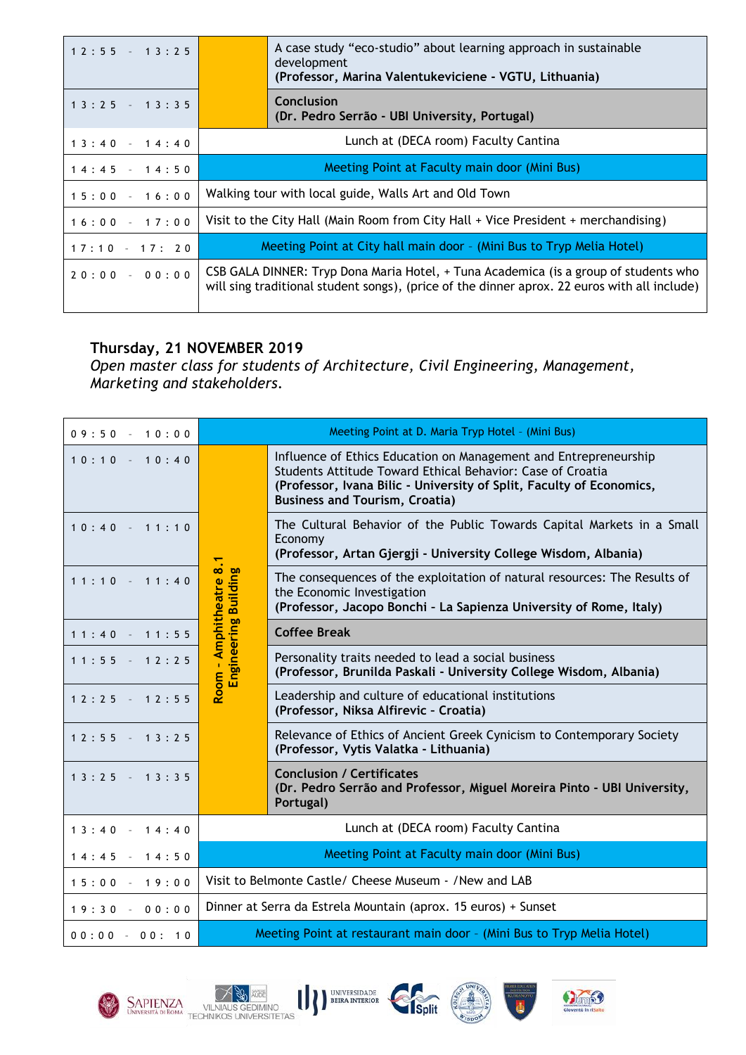| $12:55 - 13:25$ | A case study "eco-studio" about learning approach in sustainable<br>development<br>(Professor, Marina Valentukeviciene - VGTU, Lithuania)                                            |  |
|-----------------|--------------------------------------------------------------------------------------------------------------------------------------------------------------------------------------|--|
| $13:25 - 13:35$ | Conclusion<br>(Dr. Pedro Serrão - UBI University, Portugal)                                                                                                                          |  |
| $13:40 - 14:40$ | Lunch at (DECA room) Faculty Cantina                                                                                                                                                 |  |
| $14:45 - 14:50$ | Meeting Point at Faculty main door (Mini Bus)                                                                                                                                        |  |
| $15:00 - 16:00$ | Walking tour with local guide, Walls Art and Old Town                                                                                                                                |  |
| $16:00 - 17:00$ | Visit to the City Hall (Main Room from City Hall + Vice President + merchandising)                                                                                                   |  |
| $17:10 - 17:20$ | Meeting Point at City hall main door - (Mini Bus to Tryp Melia Hotel)                                                                                                                |  |
| $20:00 - 00:00$ | CSB GALA DINNER: Tryp Dona Maria Hotel, + Tuna Academica (is a group of students who<br>will sing traditional student songs), (price of the dinner aprox. 22 euros with all include) |  |

#### **Thursday, 21 NOVEMBER 2019**

*Open master class for students of Architecture, Civil Engineering, Management, Marketing and stakeholders.*

| $09:50 - 10:00$ |                                                                        | Meeting Point at D. Maria Tryp Hotel - (Mini Bus)                                                                                                                                                                                               |
|-----------------|------------------------------------------------------------------------|-------------------------------------------------------------------------------------------------------------------------------------------------------------------------------------------------------------------------------------------------|
| $10:10 - 10:40$ |                                                                        | Influence of Ethics Education on Management and Entrepreneurship<br>Students Attitude Toward Ethical Behavior: Case of Croatia<br>(Professor, Ivana Bilic - University of Split, Faculty of Economics,<br><b>Business and Tourism, Croatia)</b> |
| $10:40 - 11:10$ |                                                                        | The Cultural Behavior of the Public Towards Capital Markets in a Small<br>Economy<br>(Professor, Artan Gjergji - University College Wisdom, Albania)                                                                                            |
| $11:10 - 11:40$ | Room - Amphitheatre 8<br>Engineering Building                          | The consequences of the exploitation of natural resources: The Results of<br>the Economic Investigation<br>(Professor, Jacopo Bonchi - La Sapienza University of Rome, Italy)                                                                   |
| $11:40 - 11:55$ |                                                                        | <b>Coffee Break</b>                                                                                                                                                                                                                             |
| $11:55 - 12:25$ |                                                                        | Personality traits needed to lead a social business<br>(Professor, Brunilda Paskali - University College Wisdom, Albania)                                                                                                                       |
| $12:25 - 12:55$ |                                                                        | Leadership and culture of educational institutions<br>(Professor, Niksa Alfirevic - Croatia)                                                                                                                                                    |
| $12:55 - 13:25$ |                                                                        | Relevance of Ethics of Ancient Greek Cynicism to Contemporary Society<br>(Professor, Vytis Valatka - Lithuania)                                                                                                                                 |
| $13:25 - 13:35$ |                                                                        | <b>Conclusion / Certificates</b><br>(Dr. Pedro Serrão and Professor, Miguel Moreira Pinto - UBI University,<br>Portugal)                                                                                                                        |
| $13:40 - 14:40$ |                                                                        | Lunch at (DECA room) Faculty Cantina                                                                                                                                                                                                            |
| $14:45 - 14:50$ | Meeting Point at Faculty main door (Mini Bus)                          |                                                                                                                                                                                                                                                 |
| $15:00 - 19:00$ | Visit to Belmonte Castle/ Cheese Museum - /New and LAB                 |                                                                                                                                                                                                                                                 |
| $19:30 - 00:00$ | Dinner at Serra da Estrela Mountain (aprox. 15 euros) + Sunset         |                                                                                                                                                                                                                                                 |
| $00:00 - 00:10$ | Meeting Point at restaurant main door - (Mini Bus to Tryp Melia Hotel) |                                                                                                                                                                                                                                                 |